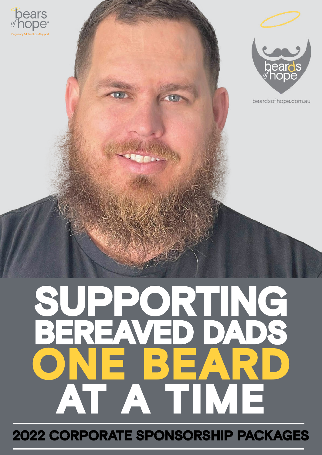





beardsofhope.com.au

# **SUPPORTING BEREAVED DADS ONE BEARD AT A TIME**

**2022 CORPORATE SPONSORSHIP PACKAGES**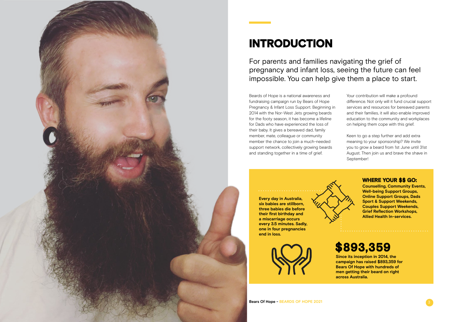

# **INTRODUCTION**

For parents and families navigating the grief of pregnancy and infant loss, seeing the future can feel impossible. You can help give them a place to start.

Beards of Hope is a national awareness and fundraising campaign run by Bears of Hope Pregnancy & Infant Loss Support. Beginning in 2014 with the Nor-West Jets growing beards for the footy season, it has become a lifeline for Dads who have experienced the loss of their baby. It gives a bereaved dad, family member, mate, colleague or community member the chance to join a much-needed support network, collectively growing beards and standing together in a time of grief.

Your contribution will make a profound difference. Not only will it fund crucial support services and resources for bereaved parents and their families, it will also enable improved education to the community and workplaces on helping them cope with this grief.

Keen to go a step further and add extra meaning to your sponsorship? We invite you to grow a beard from 1st June until 31st August. Then join us and brave the shave in September!



**Every day in Australia, six babies are stillborn, three babies die before their first birthday and a miscarriage occurs every 3.5 minutes. Sadly, one in four pregnancies end in loss.** 



**Since its inception in 2014, the campaign has raised \$893,359 for Bears Of Hope with hundreds of men getting their beard on right across Australia.** 

**WHERE YOUR \$\$ GO:**

**Counselling, Community Events, Well-being Support Groups, Online Support Groups, Dads Sport & Support Weekends, Couples Support Weekends, Grief Reflection Workshops, Allied Health In-services.** 

## **\$893,359**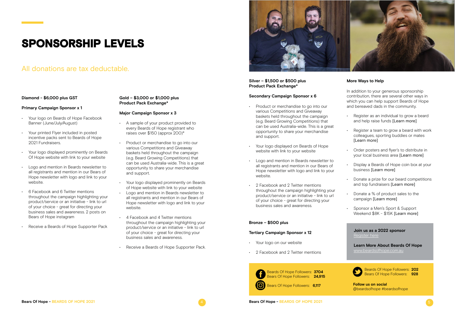### **Diamond - \$6,000 plus GST**

### **Primary Campaign Sponsor x 1**

- A sample of your product provided to every Beards of Hope registrant who raises over \$150 (approx 200)\*
- Product or merchandise to go into our various Competitions and Giveaway baskets held throughout the campaign (e.g. Beard Growing Competitions) that can be used Australia-wide. This is a great opportunity to share your merchandise and support.
- Your logo displayed prominently on Beards of Hope website with link to your website
- Logo and mention in Beards newsletter to all registrants and mention in our Bears of Hope newsletter with logo and link to your website.
- 4 Facebook and 4 Twitter mentions throughout the campaign highlighting your product/service or an initiative - link to url of your choice - great for directing your business sales and awareness.
- Receive a Beards of Hope Supporter Pack.



- Your logo on Beards of Hope Facebook Banner (June/July/August)
- Your printed Flyer included in posted incentive packs sent to Beards of Hope 2021 Fundraisers.
- Your logo displayed prominently on Beards Of Hope website with link to your website
- Logo and mention in Beards newsletter to all registrants and mention in our Bears of Hope newsletter with logo and link to your website.
- 6 Facebook and 6 Twitter mentions throughout the campaign highlighting your product/service or an initiative - link to url of your choice - great for directing your business sales and awareness. 2 posts on Bears of Hope instagram
- Receive a Beards of Hope Supporter Pack

### **Gold – \$3,000 or \$1,000 plus Product Pack Exchange\***

### **Major Campaign Sponsor x 3**

- Your logo on our website
- 2 Facebook and 2 Twitter mentions

# **SPONSORSHIP LEVELS**

### All donations are tax deductable.

### **Silver – \$1,500 or \$500 plus Product Pack Exchange\***

### **Secondary Campaign Sponsor x 6**

- Product or merchandise to go into our various Competitions and Giveaway baskets held throughout the campaign (e.g. Beard Growing Competitions) that can be used Australia-wide. This is a great opportunity to share your merchandise and support.
- Your logo displayed on Beards of Hope website with link to your website
- Logo and mention in Beards newsletter to all registrants and mention in our Bears of Hope newsletter with logo and link to your website.
- 2 Facebook and 2 Twitter mentions throughout the campaign highlighting your product/service or an initiative - link to url of your choice - great for directing your business sales and awareness.

### **Bronze – \$500 plus**

### **Tertiary Campaign Sponsor x 12**

### **More Ways to Help**

In addition to your generous sponsorship contribution, there are several other ways in which you can help support Beards of Hope and bereaved dads in the community.

- Register as an individual to grow a beard and help raise funds [\[Learn more\]](http://www.beardsofhope.com.au)
- Register a team to grow a beard with work colleagues, sporting buddies or mates [\[Learn more\]](http://www.beardsofhope.com.au)
- Order posters and flyer's to distribute in your local business area [\[Learn more\]](http://www.beardsofhope.com.au/event-resources)
- Display a Beards of Hope coin box at your business [\[Learn more\]](http://beardsofhope.com.au/event-resources)
- Donate a prize for our beard competitions and top fundraisers [\[Learn more\]](https://www.bearsofhope.org.au/ways-to-give/corporate-support/)
- Donate a % of product sales to the campaign [\[Learn more\]](https://www.bearsofhope.org.au/ways-to-give/corporate-support/)
- Sponsor a Men's Sport & Support Weekend \$8K - \$15K [\[Learn more\]](http://www.beardsofhope.com.au)

### **Join us as a 2022 sponsor** [Register here](https://bearsofhope.wufoo.com/forms/beards-of-hope-sponsorship-application/) **Learn More About Beards Of Hope** [www.beardsofhope.com.au](http://www.beardsofhope.com.au) Beards Of Hope Followers: **202** Bears Of Hope Followers: **928 Follow us on social**





@beardsofhope #beardsofhope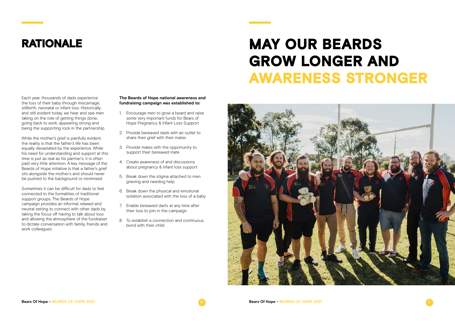Each year, thousands of dads experience the loss of their baby through miscarriage, stillbirth, neonatal or infant loss. Historically, and still evident today, we hear and see men taking on the role of getting things done, going back to work, appearing strong and being the supporting rock in the partnership.

While the mother's grief is painfully evident, the reality is that the father's life has been equally devastated by the experience. While his need for understanding and support at this time is just as real as his partner's, it is often paid very little attention. A key message of the Beards of Hope initiative is that a father's grief sits alongside the mother's and should never be pushed to the background or minimised.

# **RATIONALE MAY OUR BEARDS GROW LONGER AND AWARENESS STRONGER**







Sometimes it can be difficult for dads to feel connected to the formalities of traditional support groups. The Beards of Hope campaign provides an informal, relaxed and neutral setting to connect with other dads by taking the focus off having to talk about loss and allowing the atmosphere of the fundraiser to dictate conversation with family, friends and work colleagues.

### **The Beards of Hope national awareness and fundraising campaign was established to:**

- 1. Encourage men to grow a beard and raise some very important funds for Bears of Hope Pregnancy & Infant Loss Support
- 2. Provide bereaved dads with an outlet to share their grief with their mates
- 3. Provide mates with the opportunity to support their bereaved mate
- 4. Create awareness of and discussions about pregnancy & infant loss support
- 5. Break down the stigma attached to men grieving and needing help
- 6. Break down the physical and emotional isolation associated with the loss of a baby
- 7. Enable bereaved dad's at any time after their loss to join in the campaign
- 8. To establish a connection and continuous bond with their child